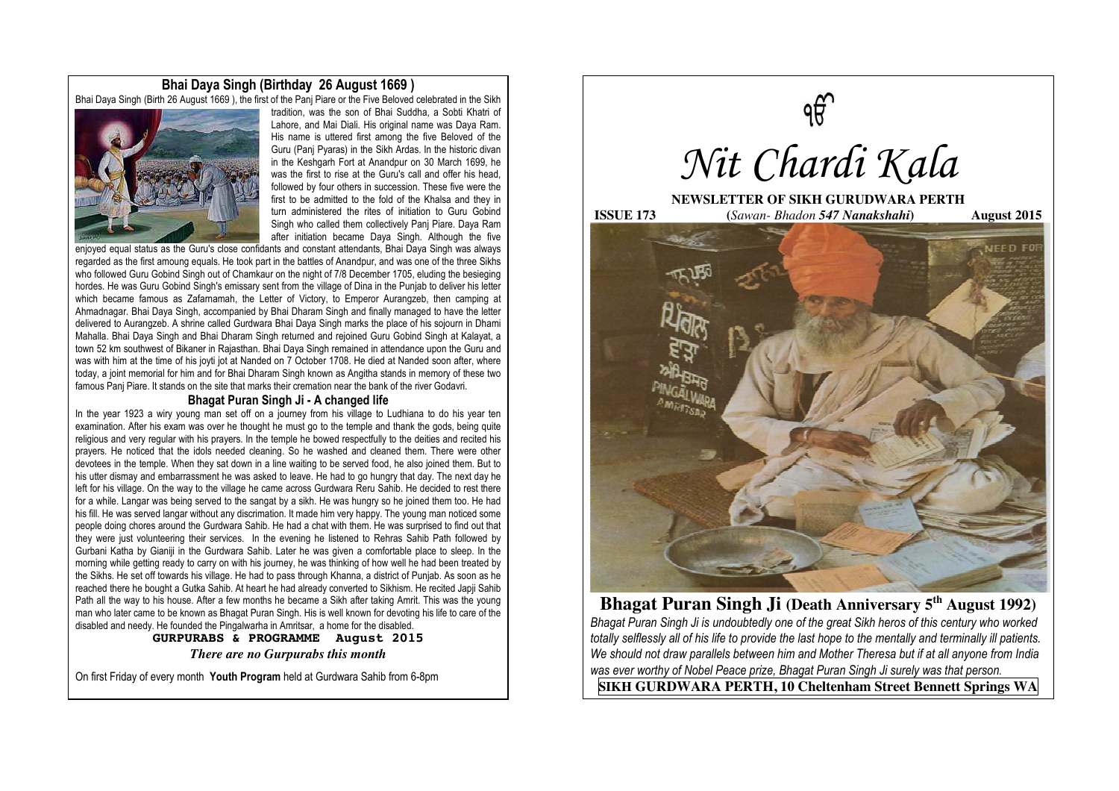# **Bhai Daya Singh (Birthday 26 August 1669 )**

Bhai Daya Singh (Birth 26 August 1669 ), the first of the Panj Piare or the Five Beloved celebrated in the Sikh



tradition, was the son of Bhai Suddha, a Sobti Khatri of Lahore, and Mai Diali. His original name was Daya Ram. His name is uttered first among the five Beloved of the Guru (Panj Pyaras) in the Sikh Ardas. In the historic divan in the Keshgarh Fort at Anandpur on 30 March 1699, he was the first to rise at the Guru's call and offer his head followed by four others in succession. These five were the first to be admitted to the fold of the Khalsa and they in turn administered the rites of initiation to Guru Gobind Singh who called them collectively Panj Piare. Daya Ram after initiation became Daya Singh. Although the five

enjoyed equal status as the Guru's close confidants and constant attendants, Bhai Daya Singh was always regarded as the first amoung equals. He took part in the battles of Anandpur, and was one of the three Sikhs who followed Guru Gobind Singh out of Chamkaur on the night of 7/8 December 1705, eluding the besieging hordes. He was Guru Gobind Singh's emissary sent from the village of Dina in the Punjab to deliver his letter which became famous as Zafamamah, the Letter of Victory, to Emperor Aurangzeb, then camping at Ahmadnagar. Bhai Daya Singh, accompanied by Bhai Dharam Singh and finally managed to have the letter delivered to Aurangzeb. A shrine called Gurdwara Bhai Daya Singh marks the place of his sojourn in Dhami Mahalla. Bhai Daya Singh and Bhai Dharam Singh returned and rejoined Guru Gobind Singh at Kalayat, a town 52 km southwest of Bikaner in Rajasthan. Bhai Daya Singh remained in attendance upon the Guru and was with him at the time of his joyti jot at Nanded on 7 October 1708. He died at Nanded soon after, where today, a joint memorial for him and for Bhai Dharam Singh known as Angitha stands in memory of these two famous Panj Piare. It stands on the site that marks their cremation near the bank of the river Godavri.

## **Bhagat Puran Singh Ji - A changed life**

In the year 1923 a wiry young man set off on a journey from his village to Ludhiana to do his year ten examination. After his exam was over he thought he must go to the temple and thank the gods, being quite religious and very regular with his prayers. In the temple he bowed respectfully to the deities and recited his prayers. He noticed that the idols needed cleaning. So he washed and cleaned them. There were other devotees in the temple. When they sat down in a line waiting to be served food, he also joined them. But to his utter dismay and embarrassment he was asked to leave. He had to go hungry that day. The next day he left for his village. On the way to the village he came across Gurdwara Reru Sahib. He decided to rest there for a while. Langar was being served to the sangat by a sikh. He was hungry so he joined them too. He had his fill. He was served langar without any discrimation. It made him very happy. The young man noticed some people doing chores around the Gurdwara Sahib. He had a chat with them. He was surprised to find out that they were just volunteering their services. In the evening he listened to Rehras Sahib Path followed by Gurbani Katha by Gianiji in the Gurdwara Sahib. Later he was given a comfortable place to sleep. In the morning while getting ready to carry on with his journey, he was thinking of how well he had been treated by the Sikhs. He set off towards his village. He had to pass through Khanna, a district of Punjab. As soon as he reached there he bought a Gutka Sahib. At heart he had already converted to Sikhism. He recited Japji Sahib Path all the way to his house. After a few months he became a Sikh after taking Amrit. This was the young man who later came to be known as Bhagat Puran Singh. His is well known for devoting his life to care of the disabled and needy. He founded the Pingalwarha in Amritsar, a home for the disabled.

> **GURPURABS & PROGRAMME August 2015**  *There are no Gurpurabs this month*

On first Friday of every month **Youth Program** held at Gurdwara Sahib from 6-8pm



**Bhagat Puran Singh Ji (Death Anniversary 5<sup>th</sup> August 1992)** *Bhagat Puran Singh Ji is undoubtedly one of the great Sikh heros of this century who worked totally selflessly all of his life to provide the last hope to the mentally and terminally ill patients. We should not draw parallels between him and Mother Theresa but if at all anyone from India was ever worthy of Nobel Peace prize, Bhagat Puran Singh Ji surely was that person.* 

**SIKH GURDWARA PERTH, 10 Cheltenham Street Bennett Springs WA**